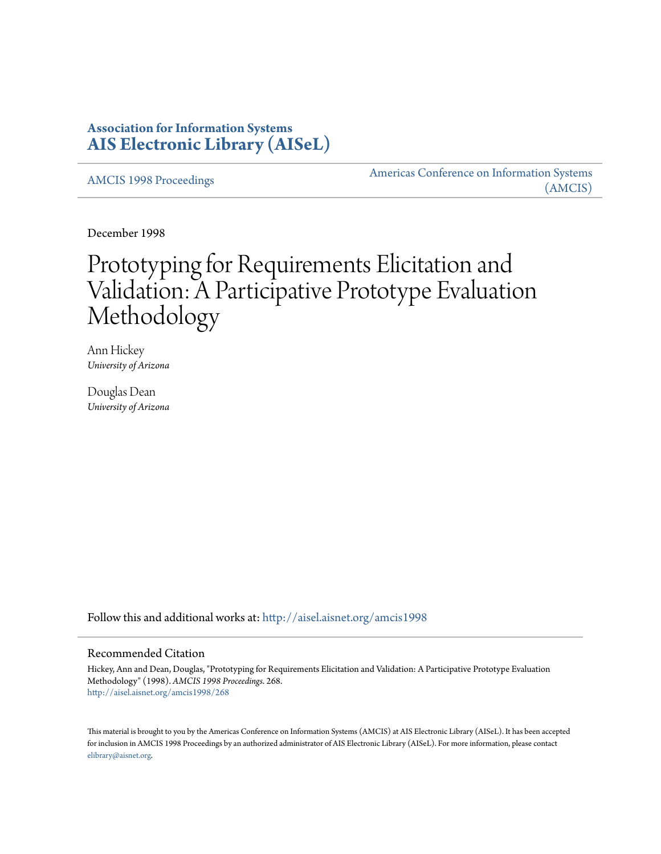# **Association for Information Systems [AIS Electronic Library \(AISeL\)](http://aisel.aisnet.org?utm_source=aisel.aisnet.org%2Famcis1998%2F268&utm_medium=PDF&utm_campaign=PDFCoverPages)**

[AMCIS 1998 Proceedings](http://aisel.aisnet.org/amcis1998?utm_source=aisel.aisnet.org%2Famcis1998%2F268&utm_medium=PDF&utm_campaign=PDFCoverPages)

[Americas Conference on Information Systems](http://aisel.aisnet.org/amcis?utm_source=aisel.aisnet.org%2Famcis1998%2F268&utm_medium=PDF&utm_campaign=PDFCoverPages) [\(AMCIS\)](http://aisel.aisnet.org/amcis?utm_source=aisel.aisnet.org%2Famcis1998%2F268&utm_medium=PDF&utm_campaign=PDFCoverPages)

December 1998

# Prototyping for Requirements Elicitation and Validation: A Participative Prototype Evaluation Methodology

Ann Hickey *University of Arizona*

Douglas Dean *University of Arizona*

Follow this and additional works at: [http://aisel.aisnet.org/amcis1998](http://aisel.aisnet.org/amcis1998?utm_source=aisel.aisnet.org%2Famcis1998%2F268&utm_medium=PDF&utm_campaign=PDFCoverPages)

## Recommended Citation

Hickey, Ann and Dean, Douglas, "Prototyping for Requirements Elicitation and Validation: A Participative Prototype Evaluation Methodology" (1998). *AMCIS 1998 Proceedings*. 268. [http://aisel.aisnet.org/amcis1998/268](http://aisel.aisnet.org/amcis1998/268?utm_source=aisel.aisnet.org%2Famcis1998%2F268&utm_medium=PDF&utm_campaign=PDFCoverPages)

This material is brought to you by the Americas Conference on Information Systems (AMCIS) at AIS Electronic Library (AISeL). It has been accepted for inclusion in AMCIS 1998 Proceedings by an authorized administrator of AIS Electronic Library (AISeL). For more information, please contact [elibrary@aisnet.org.](mailto:elibrary@aisnet.org%3E)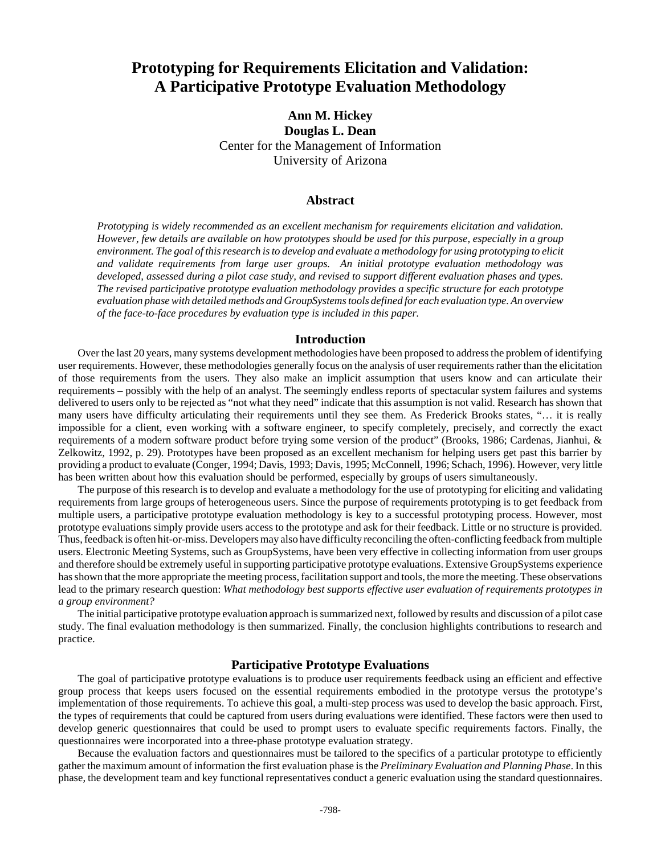# **Prototyping for Requirements Elicitation and Validation: A Participative Prototype Evaluation Methodology**

**Ann M. Hickey Douglas L. Dean** Center for the Management of Information University of Arizona

#### **Abstract**

*Prototyping is widely recommended as an excellent mechanism for requirements elicitation and validation. However, few details are available on how prototypes should be used for this purpose, especially in a group environment. The goal of this research is to develop and evaluate a methodology for using prototyping to elicit and validate requirements from large user groups. An initial prototype evaluation methodology was developed, assessed during a pilot case study, and revised to support different evaluation phases and types. The revised participative prototype evaluation methodology provides a specific structure for each prototype evaluation phase with detailed methods and GroupSystems tools defined for each evaluation type. An overview of the face-to-face procedures by evaluation type is included in this paper.*

#### **Introduction**

Over the last 20 years, many systems development methodologies have been proposed to address the problem of identifying user requirements. However, these methodologies generally focus on the analysis of user requirements rather than the elicitation of those requirements from the users. They also make an implicit assumption that users know and can articulate their requirements – possibly with the help of an analyst. The seemingly endless reports of spectacular system failures and systems delivered to users only to be rejected as "not what they need" indicate that this assumption is not valid. Research has shown that many users have difficulty articulating their requirements until they see them. As Frederick Brooks states, "… it is really impossible for a client, even working with a software engineer, to specify completely, precisely, and correctly the exact requirements of a modern software product before trying some version of the product" (Brooks, 1986; Cardenas, Jianhui, & Zelkowitz, 1992, p. 29). Prototypes have been proposed as an excellent mechanism for helping users get past this barrier by providing a product to evaluate (Conger, 1994; Davis, 1993; Davis, 1995; McConnell, 1996; Schach, 1996). However, very little has been written about how this evaluation should be performed, especially by groups of users simultaneously.

The purpose of this research is to develop and evaluate a methodology for the use of prototyping for eliciting and validating requirements from large groups of heterogeneous users. Since the purpose of requirements prototyping is to get feedback from multiple users, a participative prototype evaluation methodology is key to a successful prototyping process. However, most prototype evaluations simply provide users access to the prototype and ask for their feedback. Little or no structure is provided. Thus, feedback is often hit-or-miss. Developers may also have difficulty reconciling the often-conflicting feedback from multiple users. Electronic Meeting Systems, such as GroupSystems, have been very effective in collecting information from user groups and therefore should be extremely useful in supporting participative prototype evaluations. Extensive GroupSystems experience has shown that the more appropriate the meeting process, facilitation support and tools, the more the meeting. These observations lead to the primary research question: *What methodology best supports effective user evaluation of requirements prototypes in a group environment?*

The initial participative prototype evaluation approach is summarized next, followed by results and discussion of a pilot case study. The final evaluation methodology is then summarized. Finally, the conclusion highlights contributions to research and practice.

#### **Participative Prototype Evaluations**

The goal of participative prototype evaluations is to produce user requirements feedback using an efficient and effective group process that keeps users focused on the essential requirements embodied in the prototype versus the prototype's implementation of those requirements. To achieve this goal, a multi-step process was used to develop the basic approach. First, the types of requirements that could be captured from users during evaluations were identified. These factors were then used to develop generic questionnaires that could be used to prompt users to evaluate specific requirements factors. Finally, the questionnaires were incorporated into a three-phase prototype evaluation strategy.

Because the evaluation factors and questionnaires must be tailored to the specifics of a particular prototype to efficiently gather the maximum amount of information the first evaluation phase is the *Preliminary Evaluation and Planning Phase*. In this phase, the development team and key functional representatives conduct a generic evaluation using the standard questionnaires.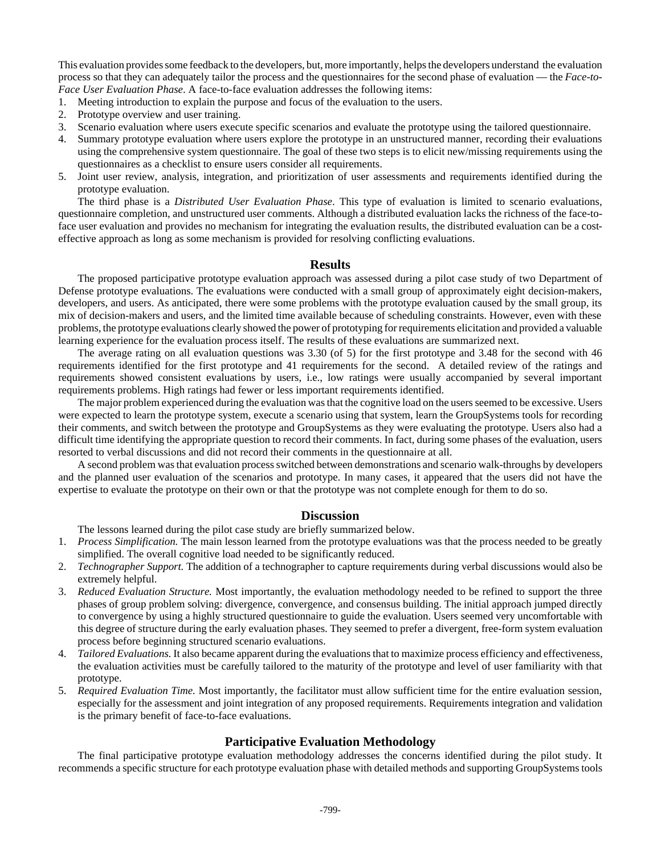This evaluation provides some feedback to the developers, but, more importantly, helps the developers understand the evaluation process so that they can adequately tailor the process and the questionnaires for the second phase of evaluation — the *Face-to-Face User Evaluation Phase*. A face-to-face evaluation addresses the following items:

- 1. Meeting introduction to explain the purpose and focus of the evaluation to the users.
- 2. Prototype overview and user training.
- 3. Scenario evaluation where users execute specific scenarios and evaluate the prototype using the tailored questionnaire.
- 4. Summary prototype evaluation where users explore the prototype in an unstructured manner, recording their evaluations using the comprehensive system questionnaire. The goal of these two steps is to elicit new/missing requirements using the questionnaires as a checklist to ensure users consider all requirements.
- 5. Joint user review, analysis, integration, and prioritization of user assessments and requirements identified during the prototype evaluation.

The third phase is a *Distributed User Evaluation Phase*. This type of evaluation is limited to scenario evaluations, questionnaire completion, and unstructured user comments. Although a distributed evaluation lacks the richness of the face-toface user evaluation and provides no mechanism for integrating the evaluation results, the distributed evaluation can be a costeffective approach as long as some mechanism is provided for resolving conflicting evaluations.

#### **Results**

The proposed participative prototype evaluation approach was assessed during a pilot case study of two Department of Defense prototype evaluations. The evaluations were conducted with a small group of approximately eight decision-makers, developers, and users. As anticipated, there were some problems with the prototype evaluation caused by the small group, its mix of decision-makers and users, and the limited time available because of scheduling constraints. However, even with these problems, the prototype evaluations clearly showed the power of prototyping for requirements elicitation and provided a valuable learning experience for the evaluation process itself. The results of these evaluations are summarized next.

The average rating on all evaluation questions was 3.30 (of 5) for the first prototype and 3.48 for the second with 46 requirements identified for the first prototype and 41 requirements for the second. A detailed review of the ratings and requirements showed consistent evaluations by users, i.e., low ratings were usually accompanied by several important requirements problems. High ratings had fewer or less important requirements identified.

The major problem experienced during the evaluation was that the cognitive load on the users seemed to be excessive. Users were expected to learn the prototype system, execute a scenario using that system, learn the GroupSystems tools for recording their comments, and switch between the prototype and GroupSystems as they were evaluating the prototype. Users also had a difficult time identifying the appropriate question to record their comments. In fact, during some phases of the evaluation, users resorted to verbal discussions and did not record their comments in the questionnaire at all.

A second problem was that evaluation process switched between demonstrations and scenario walk-throughs by developers and the planned user evaluation of the scenarios and prototype. In many cases, it appeared that the users did not have the expertise to evaluate the prototype on their own or that the prototype was not complete enough for them to do so.

### **Discussion**

The lessons learned during the pilot case study are briefly summarized below.

- 1. *Process Simplification.* The main lesson learned from the prototype evaluations was that the process needed to be greatly simplified. The overall cognitive load needed to be significantly reduced.
- 2. *Technographer Support.* The addition of a technographer to capture requirements during verbal discussions would also be extremely helpful.
- 3. *Reduced Evaluation Structure.* Most importantly, the evaluation methodology needed to be refined to support the three phases of group problem solving: divergence, convergence, and consensus building. The initial approach jumped directly to convergence by using a highly structured questionnaire to guide the evaluation. Users seemed very uncomfortable with this degree of structure during the early evaluation phases. They seemed to prefer a divergent, free-form system evaluation process before beginning structured scenario evaluations.
- 4. *Tailored Evaluations.* It also became apparent during the evaluations that to maximize process efficiency and effectiveness, the evaluation activities must be carefully tailored to the maturity of the prototype and level of user familiarity with that prototype.
- 5. *Required Evaluation Time.* Most importantly, the facilitator must allow sufficient time for the entire evaluation session, especially for the assessment and joint integration of any proposed requirements. Requirements integration and validation is the primary benefit of face-to-face evaluations.

## **Participative Evaluation Methodology**

The final participative prototype evaluation methodology addresses the concerns identified during the pilot study. It recommends a specific structure for each prototype evaluation phase with detailed methods and supporting GroupSystems tools